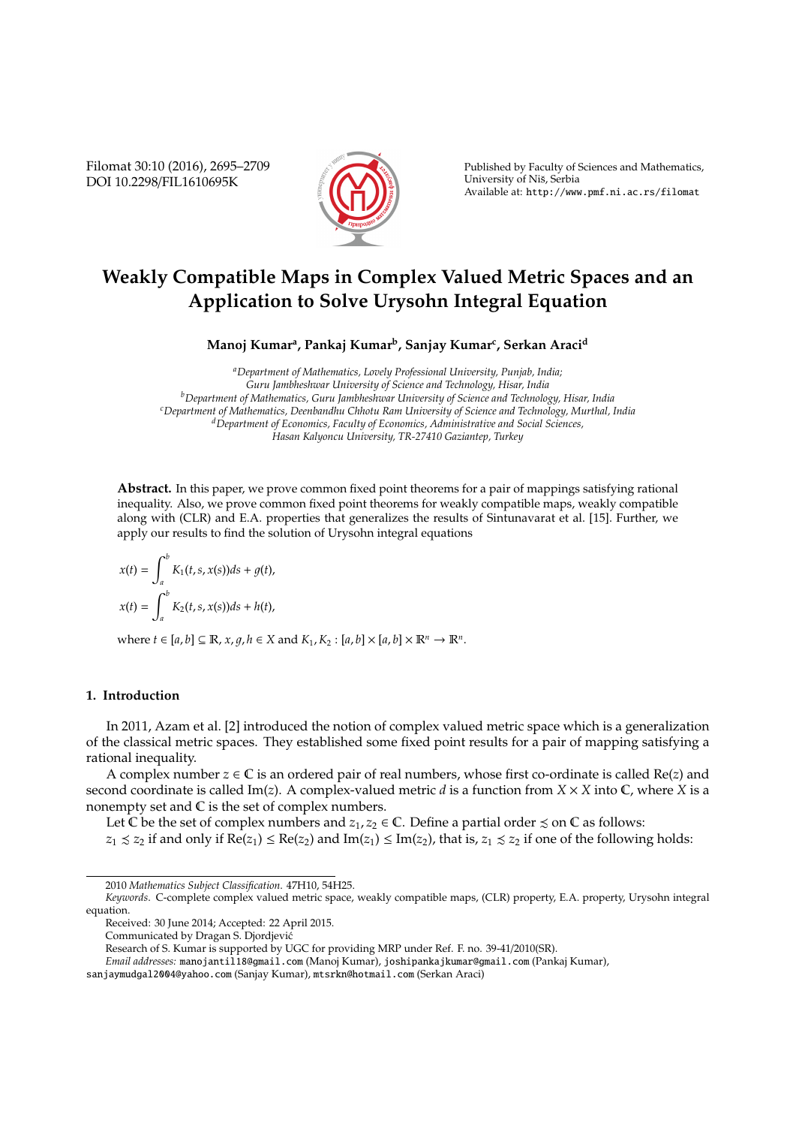Filomat 30:10 (2016), 2695–2709 DOI 10.2298/FIL1610695K



Published by Faculty of Sciences and Mathematics, University of Nis, Serbia ˇ Available at: http://www.pmf.ni.ac.rs/filomat

# **Weakly Compatible Maps in Complex Valued Metric Spaces and an Application to Solve Urysohn Integral Equation**

**Manoj Kumar<sup>a</sup> , Pankaj Kumar<sup>b</sup> , Sanjay Kumar<sup>c</sup> , Serkan Araci<sup>d</sup>**

*<sup>a</sup>Department of Mathematics, Lovely Professional University, Punjab, India; Guru Jambheshwar University of Science and Technology, Hisar, India <sup>b</sup>Department of Mathematics, Guru Jambheshwar University of Science and Technology, Hisar, India <sup>c</sup>Department of Mathematics, Deenbandhu Chhotu Ram University of Science and Technology, Murthal, India <sup>d</sup>Department of Economics, Faculty of Economics, Administrative and Social Sciences, Hasan Kalyoncu University, TR-27410 Gaziantep, Turkey*

**Abstract.** In this paper, we prove common fixed point theorems for a pair of mappings satisfying rational inequality. Also, we prove common fixed point theorems for weakly compatible maps, weakly compatible along with (CLR) and E.A. properties that generalizes the results of Sintunavarat et al. [15]. Further, we apply our results to find the solution of Urysohn integral equations

$$
x(t) = \int_a^b K_1(t, s, x(s))ds + g(t),
$$
  

$$
x(t) = \int_a^b K_2(t, s, x(s))ds + h(t),
$$

where  $t \in [a, b] \subseteq \mathbb{R}$ ,  $x, g, h \in X$  and  $K_1, K_2 : [a, b] \times [a, b] \times \mathbb{R}^n \rightarrow \mathbb{R}^n$ .

## **1. Introduction**

In 2011, Azam et al. [2] introduced the notion of complex valued metric space which is a generalization of the classical metric spaces. They established some fixed point results for a pair of mapping satisfying a rational inequality.

A complex number  $z \in \mathbb{C}$  is an ordered pair of real numbers, whose first co-ordinate is called Re(*z*) and second coordinate is called Im(*z*). A complex-valued metric *d* is a function from  $X \times X$  into  $\mathbb{C}$ , where *X* is a nonempty set and  $\mathbb C$  is the set of complex numbers.

Let C be the set of complex numbers and  $z_1, z_2 \in \mathbb{C}$ . Define a partial order  $\leq$  on C as follows:

 $z_1 \leq z_2$  if and only if  $Re(z_1) \leq Re(z_2)$  and  $Im(z_1) \leq Im(z_2)$ , that is,  $z_1 \leq z_2$  if one of the following holds:

<sup>2010</sup> *Mathematics Subject Classification*. 47H10, 54H25.

*Keywords*. C-complete complex valued metric space, weakly compatible maps, (CLR) property, E.A. property, Urysohn integral equation.

Received: 30 June 2014; Accepted: 22 April 2015.

Communicated by Dragan S. Djordjevic´

Research of S. Kumar is supported by UGC for providing MRP under Ref. F. no. 39-41/2010(SR).

*Email addresses:* manojantil18@gmail.com (Manoj Kumar), joshipankajkumar@gmail.com (Pankaj Kumar),

sanjaymudgal2004@yahoo.com (Sanjay Kumar), mtsrkn@hotmail.com (Serkan Araci)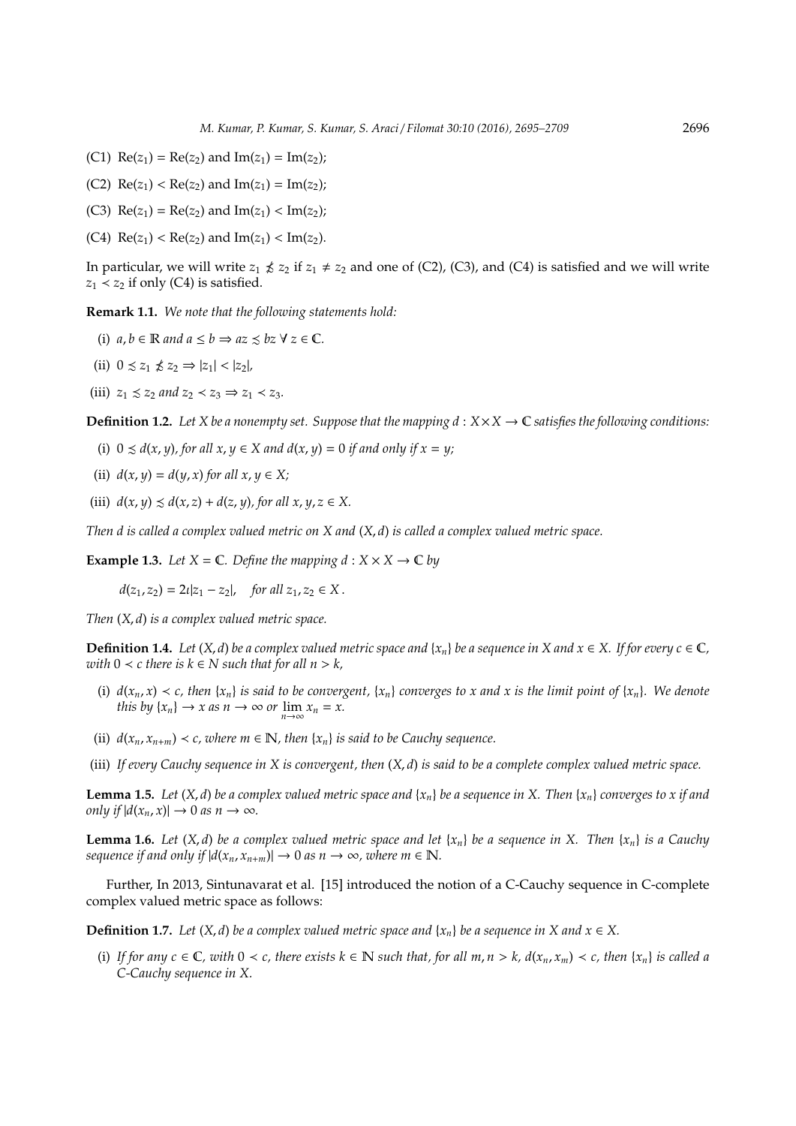- (C1)  $Re(z_1) = Re(z_2)$  and  $Im(z_1) = Im(z_2)$ ;
- (C2)  $\text{Re}(z_1) < \text{Re}(z_2)$  and  $\text{Im}(z_1) = \text{Im}(z_2)$ ;
- (C3)  $Re(z_1) = Re(z_2)$  and  $Im(z_1) < Im(z_2)$ ;
- (C4)  $\text{Re}(z_1) < \text{Re}(z_2)$  and  $\text{Im}(z_1) < \text{Im}(z_2)$ .

In particular, we will write  $z_1 \nleq z_2$  if  $z_1 \neq z_2$  and one of (C2), (C3), and (C4) is satisfied and we will write  $z_1$  <  $z_2$  if only (C4) is satisfied.

**Remark 1.1.** *We note that the following statements hold:*

- (i)  $a, b \in \mathbb{R}$  and  $a \leq b \Rightarrow az \leq bz \forall z \in \mathbb{C}$ .
- (ii)  $0 \leq z_1 \nleq z_2 \Rightarrow |z_1| < |z_2|$
- (iii)  $z_1 \leq z_2$  *and*  $z_2 \leq z_3 \Rightarrow z_1 \leq z_3$ .

**Definition 1.2.** Let *X* be a nonempty set. Suppose that the mapping  $d : X \times X \to \mathbb{C}$  satisfies the following conditions:

- (i)  $0 \le d(x, y)$ , for all  $x, y \in X$  and  $d(x, y) = 0$  if and only if  $x = y$ ;
- (ii)  $d(x, y) = d(y, x)$  *for all*  $x, y \in X$ ;
- (iii)  $d(x, y) \leq d(x, z) + d(z, y)$ , for all  $x, y, z \in X$ .

*Then d is called a complex valued metric on X and* (*X*, *d*) *is called a complex valued metric space.*

**Example 1.3.** Let  $X = \mathbb{C}$ . Define the mapping  $d : X \times X \to \mathbb{C}$  by

 $d(z_1, z_2) = 2\iota |z_1 - z_2|$ , *for all*  $z_1, z_2 \in X$ .

*Then* (*X*, *d*) *is a complex valued metric space.*

**Definition 1.4.** *Let*  $(X, d)$  *be a complex valued metric space and*  $\{x_n\}$  *be a sequence in*  $X$  *and*  $x \in X$ *. If for every c*  $\in \mathbb{C}$ *, with*  $0 < c$  *there is*  $k \in N$  *such that for all*  $n > k$ *,* 

- (i)  $d(x_n, x) < c$ , then  $\{x_n\}$  *is said to be convergent*,  $\{x_n\}$  *converges to x and x is the limit point of*  $\{x_n\}$ *. We denote this by*  $\{x_n\} \to x$  *as*  $n \to \infty$  *or*  $\lim_{n \to \infty} x_n = x$ .
- (ii)  $d(x_n, x_{n+m}) < c$ , where  $m \in \mathbb{N}$ , then  $\{x_n\}$  is said to be Cauchy sequence.
- (iii) *If every Cauchy sequence in X is convergent, then* (*X*, *d*) *is said to be a complete complex valued metric space.*

**Lemma 1.5.** Let  $(X, d)$  be a complex valued metric space and  $\{x_n\}$  be a sequence in X. Then  $\{x_n\}$  converges to x if and *only if*  $|d(x_n, x)| \to 0$  *as*  $n \to \infty$ *.* 

**Lemma 1.6.** Let  $(X, d)$  be a complex valued metric space and let  $\{x_n\}$  be a sequence in X. Then  $\{x_n\}$  is a Cauchy *sequence if and only if*  $|d(x_n, x_{n+m})| \to 0$  *as n*  $\to \infty$ *, where m*  $\in \mathbb{N}$ *.* 

Further, In 2013, Sintunavarat et al. [15] introduced the notion of a C-Cauchy sequence in C-complete complex valued metric space as follows:

**Definition 1.7.** *Let*  $(X, d)$  *be a complex valued metric space and*  $\{x_n\}$  *be a sequence in* X and  $x \in X$ .

(i) If for any  $c \in \mathbb{C}$ , with  $0 \lt c$ , there exists  $k \in \mathbb{N}$  such that, for all  $m, n > k$ ,  $d(x_n, x_m) \lt c$ , then  $\{x_n\}$  is called a *C-Cauchy sequence in X.*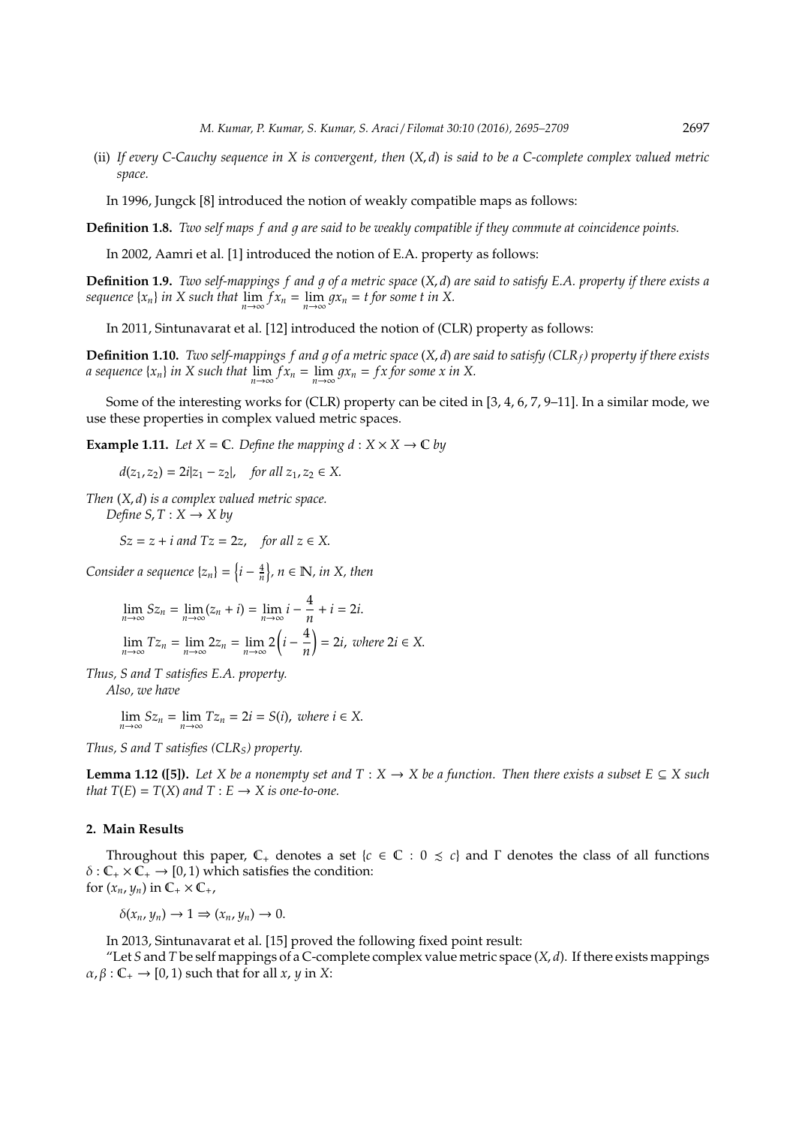(ii) *If every C-Cauchy sequence in X is convergent, then* (*X*, *d*) *is said to be a C-complete complex valued metric space.*

In 1996, Jungck [8] introduced the notion of weakly compatible maps as follows:

**Definition 1.8.** *Two self maps f and q are said to be weakly compatible if they commute at coincidence points.* 

In 2002, Aamri et al. [1] introduced the notion of E.A. property as follows:

**Definition 1.9.** *Two self-mappings f and q of a metric space*  $(X, d)$  *are said to satisfy E.A. property if there exists a sequence*  $\{x_n\}$  *in X such that*  $\lim_{n\to\infty} f x_n = \lim_{n\to\infty} g x_n = t$  for some *t in X*.

In 2011, Sintunavarat et al. [12] introduced the notion of (CLR) property as follows:

**Definition 1.10.** *Two self-mappings f and q of a metric space*  $(X, d)$  *are said to satisfy (CLR<sub>f</sub>) property if there exists a* sequence  $\{x_n\}$  *in X* such that  $\lim_{n\to\infty} f x_n = \lim_{n\to\infty} g x_n = f x$  for some x in X.

Some of the interesting works for (CLR) property can be cited in [3, 4, 6, 7, 9–11]. In a similar mode, we use these properties in complex valued metric spaces.

**Example 1.11.** *Let*  $X = \mathbb{C}$ *. Define the mapping*  $d : X \times X \rightarrow \mathbb{C}$  *by* 

 $d(z_1, z_2) = 2i|z_1 - z_2|$ , *for all*  $z_1, z_2 \in X$ .

*Then* (*X*, *d*) *is a complex valued metric space. Define*  $S, T : X \rightarrow X$  by

 $Sz = z + i$  *and*  $Tz = 2z$ , *for all*  $z \in X$ .

*Consider a sequence*  $\{z_n\} = \left\{i - \frac{4}{n}\right\}$ ,  $n \in \mathbb{N}$ , in X, then

$$
\lim_{n \to \infty} Sz_n = \lim_{n \to \infty} (z_n + i) = \lim_{n \to \infty} i - \frac{4}{n} + i = 2i.
$$
\n
$$
\lim_{n \to \infty} Tz_n = \lim_{n \to \infty} 2z_n = \lim_{n \to \infty} 2\left(i - \frac{4}{n}\right) = 2i, \text{ where } 2i \in X.
$$

*Thus, S and T satisfies E.A. property.*

*Also, we have*

 $\lim_{n \to \infty} Sz_n = \lim_{n \to \infty} Tz_n = 2i = S(i)$ , *where*  $i \in X$ .

*Thus, S and T satisfies (CLRS) property.*

**Lemma 1.12 ([5]).** *Let X be a nonempty set and*  $T : X \to X$  *be a function. Then there exists a subset*  $E \subseteq X$  *such that*  $T(E) = T(X)$  *and*  $T: E \rightarrow X$  *is one-to-one.* 

#### **2. Main Results**

Throughout this paper,  $\mathbb{C}_+$  denotes a set { $c \in \mathbb{C} : 0 \leq c$ } and  $\Gamma$  denotes the class of all functions  $\delta$  :  $\mathbb{C}_+ \times \mathbb{C}_+ \rightarrow [0, 1)$  which satisfies the condition: for  $(x_n, y_n)$  in  $\mathbb{C}_+ \times \mathbb{C}_+$ ,

 $\delta(x_n, y_n) \to 1 \Rightarrow (x_n, y_n) \to 0.$ 

In 2013, Sintunavarat et al. [15] proved the following fixed point result:

"Let *S* and *T* be self mappings of a C-complete complex value metric space  $(X, d)$ . If there exists mappings  $\alpha$ ,  $\beta$  :  $\mathbb{C}_+ \rightarrow [0, 1)$  such that for all *x*, *y* in *X*: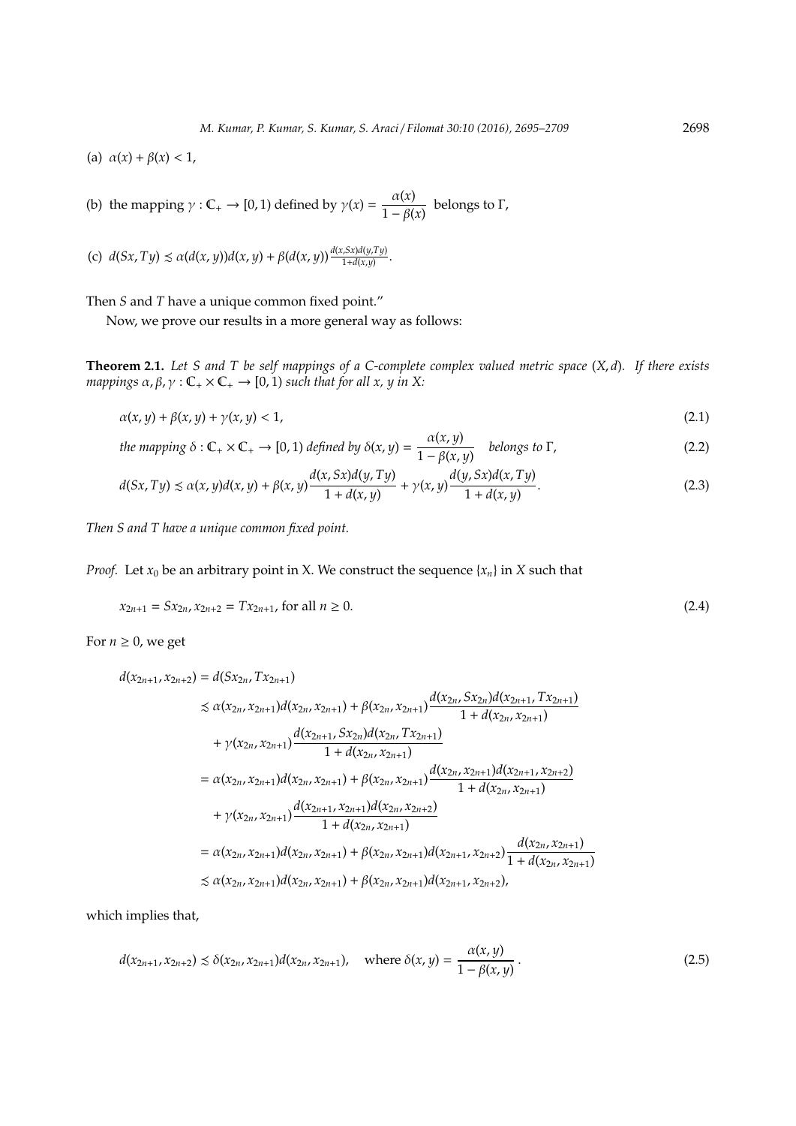(a)  $\alpha(x) + \beta(x) < 1$ ,

(b) the mapping  $\gamma : \mathbb{C}_+ \to [0,1)$  defined by  $\gamma(x) = \frac{\alpha(x)}{1 - \beta(x)}$  $\frac{\Gamma(x)}{1 - \beta(x)}$  belongs to Γ,

(c) 
$$
d(Sx,Ty) \le \alpha(d(x,y))d(x,y) + \beta(d(x,y))\frac{d(x,sx)d(y,Ty)}{1+d(x,y)}
$$
.

Then *S* and *T* have a unique common fixed point."

Now, we prove our results in a more general way as follows:

**Theorem 2.1.** *Let S and T be self mappings of a C-complete complex valued metric space* (*X*, *d*)*. If there exists mappings*  $\alpha$ ,  $\beta$ ,  $\gamma$  :  $\mathbb{C}_+ \times \mathbb{C}_+ \rightarrow [0, 1)$  *such that for all x, y in X:* 

$$
\alpha(x, y) + \beta(x, y) + \gamma(x, y) < 1,\tag{2.1}
$$

*the mapping*  $\delta : \mathbb{C}_+ \times \mathbb{C}_+ \to [0, 1)$  *defined by*  $\delta(x, y) = \frac{\alpha(x, y)}{1 - \alpha(x, y)}$  $\frac{1-\beta(x,y)}{1-\beta(x,y)}$  belongs to Γ, (2.2)

$$
d(Sx, Ty) \le \alpha(x, y)d(x, y) + \beta(x, y)\frac{d(x, Sx)d(y, Ty)}{1 + d(x, y)} + \gamma(x, y)\frac{d(y, Sx)d(x, Ty)}{1 + d(x, y)}.
$$
\n(2.3)

*Then S and T have a unique common fixed point.*

*Proof.* Let  $x_0$  be an arbitrary point in X. We construct the sequence  $\{x_n\}$  in X such that

$$
x_{2n+1} = Sx_{2n}, x_{2n+2} = Tx_{2n+1}, \text{ for all } n \ge 0.
$$
\n(2.4)

For  $n \geq 0$ , we get

$$
d(x_{2n+1}, x_{2n+2}) = d(Sx_{2n}, Tx_{2n+1})
$$
  
\n
$$
\leq \alpha(x_{2n}, x_{2n+1})d(x_{2n}, x_{2n+1}) + \beta(x_{2n}, x_{2n+1})\frac{d(x_{2n}, Sx_{2n})d(x_{2n+1}, Tx_{2n+1})}{1 + d(x_{2n}, x_{2n+1})}
$$
  
\n
$$
+ \gamma(x_{2n}, x_{2n+1})\frac{d(x_{2n+1}, Sx_{2n})d(x_{2n}, Tx_{2n+1})}{1 + d(x_{2n}, x_{2n+1})}
$$
  
\n
$$
= \alpha(x_{2n}, x_{2n+1})d(x_{2n}, x_{2n+1}) + \beta(x_{2n}, x_{2n+1})\frac{d(x_{2n}, x_{2n+1})d(x_{2n+1}, x_{2n+2})}{1 + d(x_{2n}, x_{2n+1})}
$$
  
\n
$$
+ \gamma(x_{2n}, x_{2n+1})\frac{d(x_{2n+1}, x_{2n+1})d(x_{2n}, x_{2n+2})}{1 + d(x_{2n}, x_{2n+1})}
$$
  
\n
$$
= \alpha(x_{2n}, x_{2n+1})d(x_{2n}, x_{2n+1}) + \beta(x_{2n}, x_{2n+1})d(x_{2n+1}, x_{2n+2})\frac{d(x_{2n}, x_{2n+1})}{1 + d(x_{2n}, x_{2n+1})}
$$
  
\n
$$
\leq \alpha(x_{2n}, x_{2n+1})d(x_{2n}, x_{2n+1}) + \beta(x_{2n}, x_{2n+1})d(x_{2n+1}, x_{2n+2}),
$$

which implies that,

$$
d(x_{2n+1}, x_{2n+2}) \le \delta(x_{2n}, x_{2n+1}) d(x_{2n}, x_{2n+1}), \quad \text{where } \delta(x, y) = \frac{\alpha(x, y)}{1 - \beta(x, y)}.
$$
 (2.5)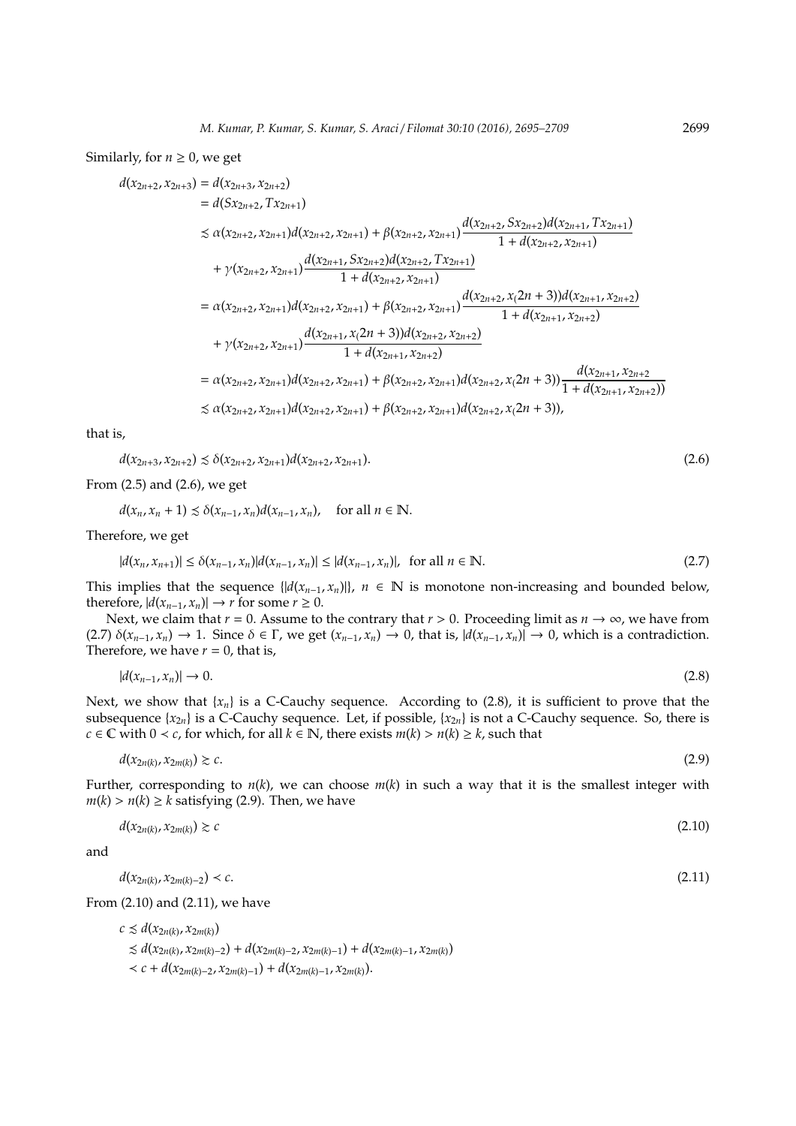#### Similarly, for  $n \geq 0$ , we get

$$
d(x_{2n+2}, x_{2n+3}) = d(x_{2n+2}, x_{2n+2})
$$
  
\n
$$
= d(Sx_{2n+2}, x_{2n+1})d(x_{2n+2}, x_{2n+1}) + \beta(x_{2n+2}, x_{2n+1})\frac{d(x_{2n+2}, Sx_{2n+2})d(x_{2n+1}, Tx_{2n+1})}{1 + d(x_{2n+2}, x_{2n+1})}
$$
  
\n
$$
+ \gamma(x_{2n+2}, x_{2n+1})\frac{d(x_{2n+1}, Sx_{2n+2})d(x_{2n+2}, Tx_{2n+1})}{1 + d(x_{2n+2}, x_{2n+1})}
$$
  
\n
$$
= \alpha(x_{2n+2}, x_{2n+1})d(x_{2n+2}, x_{2n+1}) + \beta(x_{2n+2}, x_{2n+1})\frac{d(x_{2n+2}, x_{2n+3})d(x_{2n+1}, x_{2n+2})}{1 + d(x_{2n+1}, x_{2n+2})}
$$
  
\n
$$
+ \gamma(x_{2n+2}, x_{2n+1})\frac{d(x_{2n+1}, x_{2n+2})d(x_{2n+2}, x_{2n+2})}{1 + d(x_{2n+1}, x_{2n+2})}
$$
  
\n
$$
= \alpha(x_{2n+2}, x_{2n+1})d(x_{2n+2}, x_{2n+1}) + \beta(x_{2n+2}, x_{2n+1})d(x_{2n+2}, x_{2n+3})\frac{d(x_{2n+1}, x_{2n+2})}{1 + d(x_{2n+1}, x_{2n+2})}
$$
  
\n
$$
\leq \alpha(x_{2n+2}, x_{2n+1})d(x_{2n+2}, x_{2n+1}) + \beta(x_{2n+2}, x_{2n+1})d(x_{2n+2}, x_{2n+3})
$$
  
\n
$$
\leq \alpha(x_{2n+2}, x_{2n+1})d(x_{2n+2}, x_{2n+1}) + \beta(x_{2n+2}, x_{2n+1})d(x_{2n+2}, x_{2n+3})
$$

that is,

 $d(x_{2n+3}, x_{2n+2}) \leq \delta(x_{2n+2}, x_{2n+1})d(x_{2n+2}, x_{2n+1}).$  (2.6)

From (2.5) and (2.6), we get

 $d(x_n, x_n + 1) \leq \delta(x_{n-1}, x_n) d(x_{n-1}, x_n)$ , for all  $n \in \mathbb{N}$ .

Therefore, we get

$$
|d(x_n, x_{n+1})| \le \delta(x_{n-1}, x_n)|d(x_{n-1}, x_n)| \le |d(x_{n-1}, x_n)|, \text{ for all } n \in \mathbb{N}.
$$
\n(2.7)

This implies that the sequence  $\{ |d(x_{n-1}, x_n)| \}$ , *n* ∈ N is monotone non-increasing and bounded below, therefore,  $|d(x_{n-1}, x_n)| \to r$  for some  $r \geq 0$ .

Next, we claim that  $r = 0$ . Assume to the contrary that  $r > 0$ . Proceeding limit as  $n \to \infty$ , we have from (2.7)  $\delta(x_{n-1}, x_n) \to 1$ . Since  $\delta \in \Gamma$ , we get  $(x_{n-1}, x_n) \to 0$ , that is,  $|d(x_{n-1}, x_n)| \to 0$ , which is a contradiction. Therefore, we have  $r = 0$ , that is,

$$
|d(x_{n-1},x_n)| \to 0. \tag{2.8}
$$

Next, we show that  ${x_n}$  is a C-Cauchy sequence. According to (2.8), it is sufficient to prove that the subsequence  $\{x_{2n}\}$  is a C-Cauchy sequence. Let, if possible,  $\{x_{2n}\}$  is not a C-Cauchy sequence. So, there is *c* ∈ **C** with 0 < *c*, for which, for all  $k$  ∈ **N**, there exists  $m(k) > n(k) \ge k$ , such that

 $d(x_{2n(k)}, x_{2m(k)}) \geq c$ .  $(x_{2m(k)}) \gtrsim c.$  (2.9)

Further, corresponding to  $n(k)$ , we can choose  $m(k)$  in such a way that it is the smallest integer with  $m(k) > n(k) \ge k$  satisfying (2.9). Then, we have

$$
d(x_{2n(k)}, x_{2m(k)}) \gtrsim c \tag{2.10}
$$

and

 $d(x_{2n(k)}, x_{2m(k)-2}) < c.$  (2.11)

From (2.10) and (2.11), we have

 $c \leq d(x_{2n(k)}, x_{2m(k)})$  $\leq d(x_{2n(k)}, x_{2m(k)-2}) + d(x_{2m(k)-2}, x_{2m(k)-1}) + d(x_{2m(k)-1}, x_{2m(k)})$  $< c + d(x_{2m(k)-2}, x_{2m(k)-1}) + d(x_{2m(k)-1}, x_{2m(k)}).$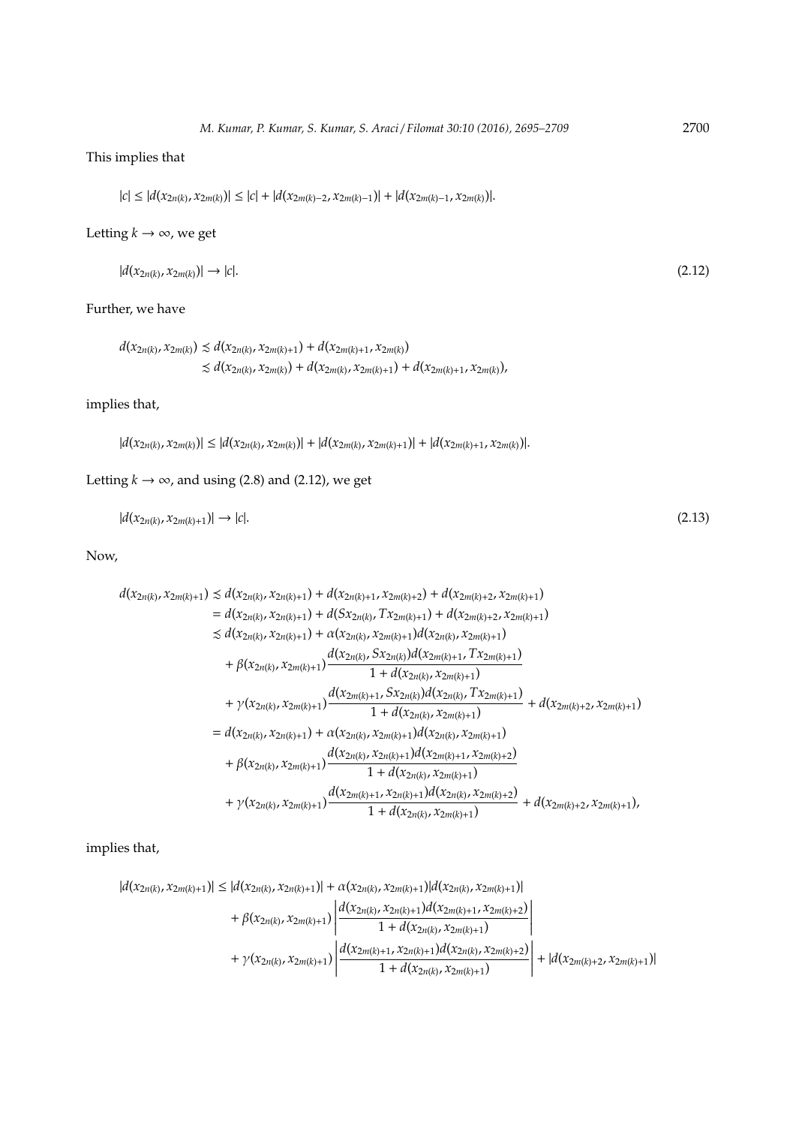# This implies that

 $|c| \leq |d(x_{2n(k)}, x_{2m(k)})| \leq |c| + |d(x_{2m(k)-2}, x_{2m(k)-1})| + |d(x_{2m(k)-1}, x_{2m(k)})|.$ 

## Letting  $k \to \infty$ , we get

| $ d(x_{2n(k)}, x_{2m(k)})  \to  c .$ | (2.12) |
|--------------------------------------|--------|
|--------------------------------------|--------|

## Further, we have

```
d(x_{2n(k)}, x_{2m(k)}) \le d(x_{2n(k)}, x_{2m(k)+1}) + d(x_{2m(k)+1}, x_{2m(k)})\leq d(x_{2n(k)}, x_{2m(k)}) + d(x_{2m(k)}, x_{2m(k)+1}) + d(x_{2m(k)+1}, x_{2m(k)}),
```
# implies that,

 $|d(x_{2n(k)}, x_{2m(k)})| \leq |d(x_{2n(k)}, x_{2m(k)})| + |d(x_{2m(k)}, x_{2m(k)+1})| + |d(x_{2m(k)+1}, x_{2m(k)})|.$ 

# Letting  $k \rightarrow \infty$ , and using (2.8) and (2.12), we get

$$
|d(x_{2n(k)}, x_{2m(k)+1})| \to |c|.\tag{2.13}
$$

## Now,

$$
d(x_{2n(k)}, x_{2m(k)+1}) \le d(x_{2n(k)}, x_{2n(k)+1}) + d(x_{2n(k)+1}, x_{2m(k)+2}) + d(x_{2m(k)+2}, x_{2m(k)+1})
$$
  
\n
$$
= d(x_{2n(k)}, x_{2n(k)+1}) + d(Sx_{2n(k)}, Tx_{2m(k)+1}) + d(x_{2m(k)+2}, x_{2m(k)+1})
$$
  
\n
$$
\le d(x_{2n(k)}, x_{2n(k)+1}) + \alpha(x_{2n(k)}, x_{2m(k)+1})d(x_{2n(k)}, x_{2m(k)+1})
$$
  
\n
$$
+ \beta(x_{2n(k)}, x_{2m(k)+1}) \frac{d(x_{2n(k)}, Sx_{2n(k)})d(x_{2m(k)+1}, Tx_{2m(k)+1})}{1 + d(x_{2n(k)}, X_{2m(k)+1})}
$$
  
\n
$$
+ \gamma(x_{2n(k)}, x_{2m(k)+1}) \frac{d(x_{2m(k)+1}, Sx_{2n(k)})d(x_{2n(k)}, Tx_{2m(k)+1})}{1 + d(x_{2n(k)}, x_{2m(k)+1})} + d(x_{2m(k)+2}, x_{2m(k)+1})
$$
  
\n
$$
= d(x_{2n(k)}, x_{2n(k)+1}) + \alpha(x_{2n(k)}, x_{2m(k)+1})d(x_{2n(k)}, x_{2m(k)+1})
$$
  
\n
$$
+ \beta(x_{2n(k)}, x_{2m(k)+1}) \frac{d(x_{2n(k)}, x_{2m(k)+1})d(x_{2m(k)}, x_{2m(k)+1})}{1 + d(x_{2n(k)}, x_{2m(k)+1})}
$$
  
\n
$$
+ \gamma(x_{2n(k)}, x_{2m(k)+1}) \frac{d(x_{2m(k)+1}, x_{2n(k)+1})d(x_{2m(k)+1}, x_{2m(k)+2})}{1 + d(x_{2n(k)}, x_{2m(k)+1})}
$$
  
\n
$$
+ d(x_{2m(k)}, x_{2m(k)+1})
$$

implies that,

$$
|d(x_{2n(k)}, x_{2m(k)+1})| \leq |d(x_{2n(k)}, x_{2n(k)+1})| + \alpha(x_{2n(k)}, x_{2m(k)+1})|d(x_{2n(k)}, x_{2m(k)+1})| + \beta(x_{2n(k)}, x_{2m(k)+1})\left|\frac{d(x_{2n(k)}, x_{2n(k)+1})d(x_{2m(k)+1}, x_{2m(k)+2})}{1 + d(x_{2n(k)}, x_{2m(k)+1})}\right| + \gamma(x_{2n(k)}, x_{2m(k)+1})\left|\frac{d(x_{2m(k)+1}, x_{2n(k)+1})d(x_{2n(k)}, x_{2m(k)+2})}{1 + d(x_{2n(k)}, x_{2m(k)+1})}\right| + |d(x_{2m(k)+2}, x_{2m(k)+1})|
$$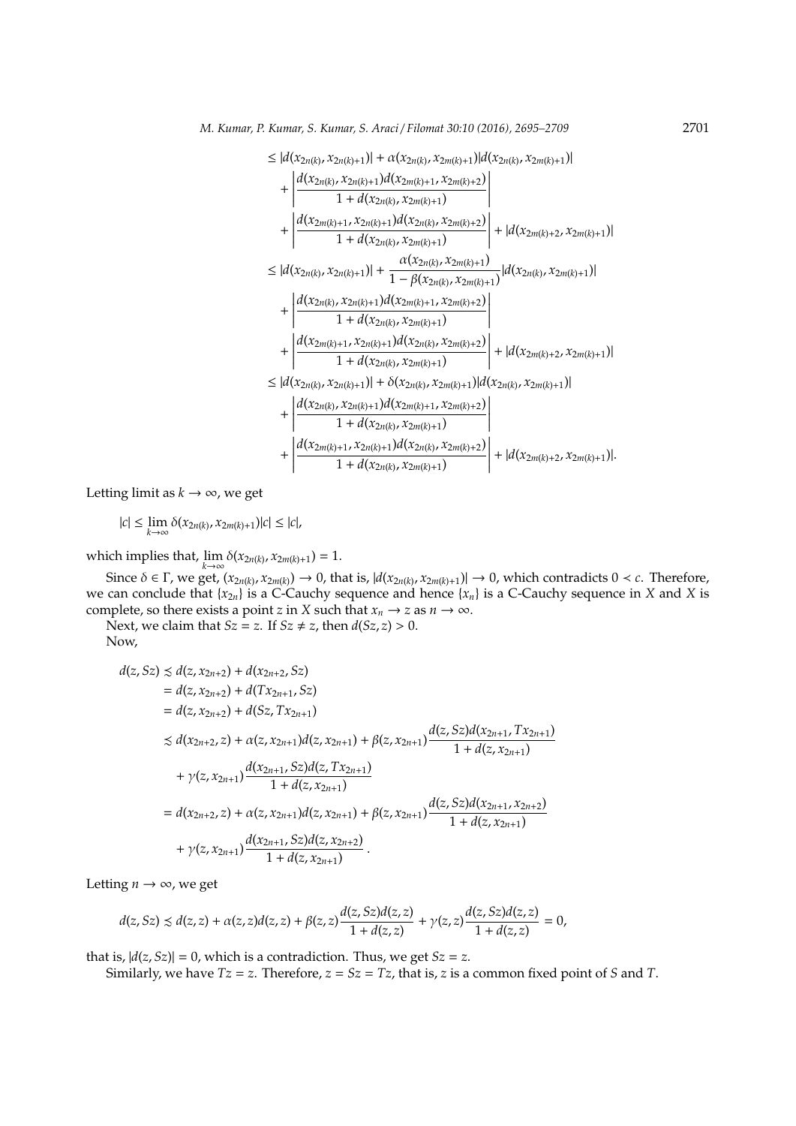$$
\leq |d(x_{2n(k)}, x_{2n(k)+1})| + \alpha(x_{2n(k)}, x_{2m(k)+1})|d(x_{2n(k)}, x_{2m(k)+1})| \n+ \left| \frac{d(x_{2n(k)}, x_{2n(k)+1})d(x_{2m(k)+1}, x_{2m(k)+2})}{1 + d(x_{2n(k)}, x_{2m(k)+1})} \right| \n+ \left| \frac{d(x_{2m(k)+1}, x_{2n(k)+1})d(x_{2n(k)}, x_{2m(k)+2})}{1 + d(x_{2n(k)}, x_{2m(k)+1})} \right| + |d(x_{2m(k)+2}, x_{2m(k)+1})| \n\leq |d(x_{2n(k)}, x_{2n(k)+1})| + \frac{\alpha(x_{2n(k)}, x_{2m(k)+1})}{1 - \beta(x_{2n(k)}, x_{2m(k)+1})}|d(x_{2n(k)}, x_{2m(k)+1})| \n+ \left| \frac{d(x_{2n(k)}, x_{2n(k)+1})d(x_{2m(k)+1}, x_{2m(k)+2})}{1 + d(x_{2n(k)}, x_{2m(k)+1})} \right| + |d(x_{2m(k)+2}, x_{2m(k)+1})| \n+ \left| \frac{d(x_{2m(k)+1}, x_{2n(k)+1})d(x_{2n(k)}, x_{2m(k)+2})}{1 + d(x_{2n(k)}, x_{2m(k)+1})} \right| + |d(x_{2m(k)+2}, x_{2m(k)+1})| \n+ \left| \frac{d(x_{2n(k)}, x_{2n(k)+1})d(x_{2m(k)}, x_{2m(k)+1})|d(x_{2n(k)}, x_{2m(k)+1})|}{1 + d(x_{2n(k)}, x_{2m(k)+1})d(x_{2m(k)+1}, x_{2m(k)+2})} \right| \n+ \left| \frac{d(x_{2m(k)}, x_{2n(k)+1})d(x_{2m(k)}, x_{2m(k)+2})}{1 + d(x_{2n(k)}, x_{2m(k)+1})} \right| + |d(x_{2m(k)+2}, x_{2m(k)+1})|.
$$

Letting limit as  $k \to \infty$ , we get

|*c*| ≤ lim *k*→∞ δ(*x*2*n*(*k*) , *x*2*m*(*k*)+1)|*c*| ≤ |*c*|,

which implies that,  $\lim_{k\to\infty} \delta(x_{2n(k)}, x_{2m(k)+1}) = 1.$ 

Since  $\delta \in \Gamma$ , we get,  $(x_{2n(k)}, x_{2m(k)}) \to 0$ , that is,  $|d(x_{2n(k)}, x_{2m(k)+1})| \to 0$ , which contradicts  $0 < c$ . Therefore, we can conclude that  $\{x_{2n}\}\)$  is a C-Cauchy sequence and hence  $\{x_n\}$  is a C-Cauchy sequence in *X* and *X* is complete, so there exists a point *z* in *X* such that  $x_n \to z$  as  $n \to \infty$ .

Next, we claim that *Sz* = *z*. If *Sz*  $\neq$  *z*, then *d*(*Sz*, *z*) > 0.

Now,

$$
d(z, Sz) \preceq d(z, x_{2n+2}) + d(x_{2n+2}, Sz)
$$
  
=  $d(z, x_{2n+2}) + d(Tx_{2n+1}, Sz)$   
=  $d(z, x_{2n+2}) + d(Sz, Tx_{2n+1})$   
 $\preceq d(x_{2n+2}, z) + \alpha(z, x_{2n+1})d(z, x_{2n+1}) + \beta(z, x_{2n+1})\frac{d(z, Sz)d(x_{2n+1}, Tx_{2n+1})}{1 + d(z, x_{2n+1})}$   
+  $\gamma(z, x_{2n+1})\frac{d(x_{2n+1}, Sz)d(z, Tx_{2n+1})}{1 + d(z, x_{2n+1})}$   
=  $d(x_{2n+2}, z) + \alpha(z, x_{2n+1})d(z, x_{2n+1}) + \beta(z, x_{2n+1})\frac{d(z, Sz)d(x_{2n+1}, x_{2n+2})}{1 + d(z, x_{2n+1})}$   
+  $\gamma(z, x_{2n+1})\frac{d(x_{2n+1}, Sz)d(z, x_{2n+2})}{1 + d(z, x_{2n+1})}$ .

Letting  $n \to \infty$ , we get

$$
d(z, Sz) \precsim d(z, z) + \alpha(z, z)d(z, z) + \beta(z, z)\frac{d(z, Sz)d(z, z)}{1 + d(z, z)} + \gamma(z, z)\frac{d(z, Sz)d(z, z)}{1 + d(z, z)} = 0,
$$

that is,  $|d(z, Sz)| = 0$ , which is a contradiction. Thus, we get  $Sz = z$ .

Similarly, we have  $Tz = z$ . Therefore,  $z = Sz = Tz$ , that is, *z* is a common fixed point of *S* and *T*.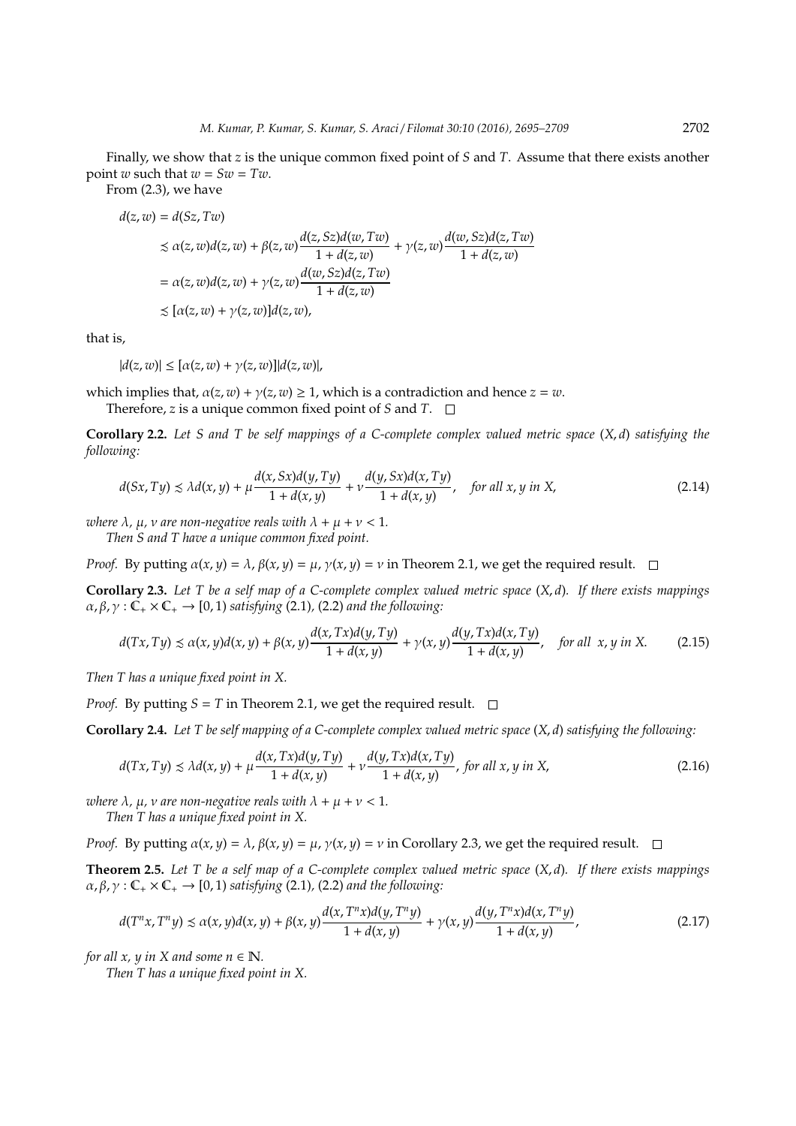Finally, we show that *z* is the unique common fixed point of *S* and *T*. Assume that there exists another point *w* such that  $w = Sw = Tw$ .

From (2.3), we have

$$
d(z, w) = d(Sz, Tw)
$$
  
\n
$$
\leq \alpha(z, w)d(z, w) + \beta(z, w)\frac{d(z, Sz)d(w, Tw)}{1 + d(z, w)} + \gamma(z, w)\frac{d(w, Sz)d(z, Tw)}{1 + d(z, w)}
$$
  
\n
$$
= \alpha(z, w)d(z, w) + \gamma(z, w)\frac{d(w, Sz)d(z, Tw)}{1 + d(z, w)}
$$
  
\n
$$
\leq [\alpha(z, w) + \gamma(z, w)]d(z, w),
$$

that is,

 $|d(z, w)| \leq [\alpha(z, w) + \gamma(z, w)] |d(z, w)|,$ 

which implies that,  $\alpha(z, w) + \gamma(z, w) \geq 1$ , which is a contradiction and hence  $z = w$ .

Therefore, *z* is a unique common fixed point of *S* and *T*.

**Corollary 2.2.** *Let S and T be self mappings of a C-complete complex valued metric space* (*X*, *d*) *satisfying the following:*

$$
d(Sx, Ty) \le \lambda d(x, y) + \mu \frac{d(x, Sx)d(y, Ty)}{1 + d(x, y)} + \nu \frac{d(y, Sx)d(x, Ty)}{1 + d(x, y)}, \quad \text{for all } x, y \text{ in } X,
$$
\n(2.14)

*where*  $\lambda$ ,  $\mu$ ,  $\nu$  *are non-negative reals with*  $\lambda + \mu + \nu < 1$ .

*Then S and T have a unique common fixed point.*

*Proof.* By putting  $\alpha(x, y) = \lambda$ ,  $\beta(x, y) = \mu$ ,  $\gamma(x, y) = \nu$  in Theorem 2.1, we get the required result.  $\square$ 

**Corollary 2.3.** *Let T be a self map of a C-complete complex valued metric space* (*X*, *d*)*. If there exists mappings*  $\alpha$ ,  $\beta$ ,  $\gamma$ :  $\mathbb{C}_+ \times \mathbb{C}_+ \rightarrow [0, 1)$  *satisfying* (2.1), (2.2) *and the following*:

$$
d(Tx, Ty) \le \alpha(x, y)d(x, y) + \beta(x, y)\frac{d(x, Tx)d(y, Ty)}{1 + d(x, y)} + \gamma(x, y)\frac{d(y, Tx)d(x, Ty)}{1 + d(x, y)}, \quad \text{for all } x, y \text{ in } X. \tag{2.15}
$$

*Then T has a unique fixed point in X.*

*Proof.* By putting  $S = T$  in Theorem 2.1, we get the required result.  $\Box$ 

**Corollary 2.4.** *Let T be self mapping of a C-complete complex valued metric space* (*X*, *d*) *satisfying the following:*

$$
d(Tx, Ty) \le \lambda d(x, y) + \mu \frac{d(x, Tx)d(y, Ty)}{1 + d(x, y)} + \nu \frac{d(y, Tx)d(x, Ty)}{1 + d(x, y)}, \text{ for all } x, y \text{ in } X,
$$
\n(2.16)

*where*  $\lambda$ *,*  $\mu$ *, v are non-negative reals with*  $\lambda + \mu + \nu < 1$ *. Then T has a unique fixed point in X.*

*Proof.* By putting  $\alpha(x, y) = \lambda$ ,  $\beta(x, y) = \mu$ ,  $\gamma(x, y) = \nu$  in Corollary 2.3, we get the required result.  $\square$ 

**Theorem 2.5.** *Let T be a self map of a C-complete complex valued metric space* (*X*, *d*)*. If there exists mappings*  $\alpha$ ,  $\beta$ ,  $\gamma$  :  $\mathbb{C}_+ \times \mathbb{C}_+ \rightarrow [0, 1)$  *satisfying* (2.1), (2.2) *and the following:* 

$$
d(T^{n}x, T^{n}y) \le \alpha(x, y)d(x, y) + \beta(x, y)\frac{d(x, T^{n}x)d(y, T^{n}y)}{1 + d(x, y)} + \gamma(x, y)\frac{d(y, T^{n}x)d(x, T^{n}y)}{1 + d(x, y)},
$$
\n(2.17)

*for all x, y in X and some n*  $\in \mathbb{N}$ *.* 

*Then T has a unique fixed point in X.*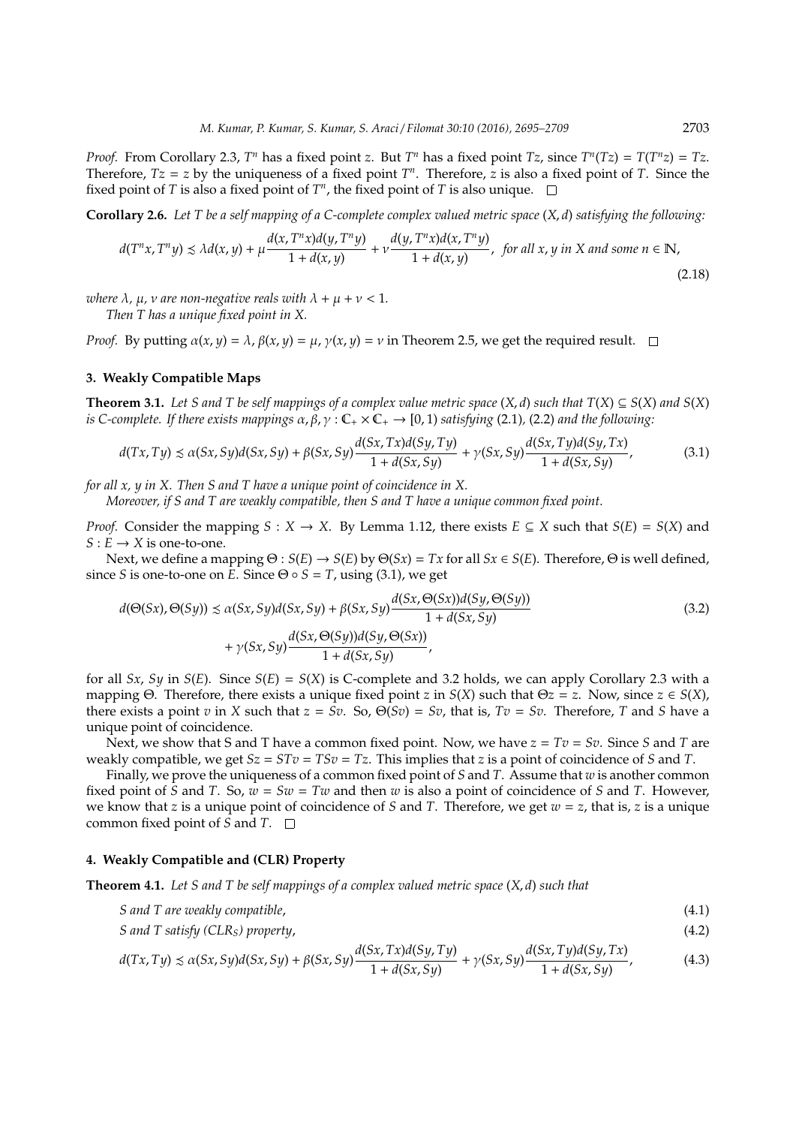*Proof.* From Corollary 2.3,  $T^n$  has a fixed point *z*. But  $T^n$  has a fixed point  $Tz$ , since  $T^n(Tz) = T(T^n z) = Tz$ . Therefore,  $Tz = z$  by the uniqueness of a fixed point  $T<sup>n</sup>$ . Therefore, *z* is also a fixed point of *T*. Since the fixed point of  $T$  is also a fixed point of  $T<sup>n</sup>$ , the fixed point of  $T$  is also unique.

**Corollary 2.6.** *Let T be a self mapping of a C-complete complex valued metric space* (*X*, *d*) *satisfying the following:*

$$
d(T^{n}x, T^{n}y) \le \lambda d(x, y) + \mu \frac{d(x, T^{n}x)d(y, T^{n}y)}{1 + d(x, y)} + \nu \frac{d(y, T^{n}x)d(x, T^{n}y)}{1 + d(x, y)}, \text{ for all } x, y \text{ in } X \text{ and some } n \in \mathbb{N},
$$
\n(2.18)

*where*  $\lambda$ ,  $\mu$ ,  $\nu$  *are* non-negative reals with  $\lambda + \mu + \nu < 1$ .

*Then T has a unique fixed point in X.*

*Proof.* By putting  $\alpha(x, y) = \lambda$ ,  $\beta(x, y) = \mu$ ,  $\gamma(x, y) = \nu$  in Theorem 2.5, we get the required result.  $\square$ 

### **3. Weakly Compatible Maps**

**Theorem 3.1.** *Let S and T be self mappings of a complex value metric space*  $(X, d)$  *such that*  $T(X) \subseteq S(X)$  *and*  $S(X)$ *is C-complete. If there exists mappings*  $\alpha, \beta, \gamma : \mathbb{C}_+ \times \mathbb{C}_+ \to [0, 1)$  *satisfying* (2.1), (2.2) *and the following:* 

$$
d(Tx, Ty) \le \alpha(Sx, Sy)d(Sx, Sy) + \beta(Sx, Sy)\frac{d(Sx, Tx)d(Sy, Ty)}{1 + d(Sx, Sy)} + \gamma(Sx, Sy)\frac{d(Sx, Ty)d(Sy, Tx)}{1 + d(Sx, Sy)},
$$
\n(3.1)

*for all x, y in X. Then S and T have a unique point of coincidence in X.*

*Moreover, if S and T are weakly compatible, then S and T have a unique common fixed point.*

*Proof.* Consider the mapping *S* : *X* → *X*. By Lemma 1.12, there exists  $E \subseteq X$  such that  $S(E) = S(X)$  and  $S: E \rightarrow X$  is one-to-one.

Next, we define a mapping  $\Theta : S(E) \to S(E)$  by  $\Theta(Sx) = Tx$  for all  $Sx \in S(E)$ . Therefore,  $\Theta$  is well defined, since *S* is one-to-one on *E*. Since  $\Theta \circ S = T$ , using (3.1), we get

$$
d(\Theta(Sx), \Theta(Sy)) \le \alpha(Sx, Sy)d(Sx, Sy) + \beta(Sx, Sy)\frac{d(Sx, \Theta(Sx))d(Sy, \Theta(Sy))}{1 + d(Sx, Sy)} + \gamma(Sx, Sy)\frac{d(Sx, \Theta(Sy))d(Sy, \Theta(Sx))}{1 + d(Sx, Sy)},
$$
\n(3.2)

for all *Sx*, *Sy* in *S*(*E*). Since *S*(*E*) = *S*(*X*) is C-complete and 3.2 holds, we can apply Corollary 2.3 with a mapping Θ. Therefore, there exists a unique fixed point *z* in *S*(*X*) such that Θ*z* = *z*. Now, since *z*  $\in$  *S*(*X*), there exists a point *v* in *X* such that  $z = Sv$ . So,  $\Theta(Sv) = Sv$ , that is,  $Tv = Sv$ . Therefore, *T* and *S* have a unique point of coincidence.

Next, we show that S and T have a common fixed point. Now, we have  $z = Tv = Sv$ . Since S and T are weakly compatible, we get  $Sz = STv = TSv = Tz$ . This implies that *z* is a point of coincidence of *S* and *T*.

Finally, we prove the uniqueness of a common fixed point of *S* and *T*. Assume that *w* is another common fixed point of *S* and *T*. So,  $w = Sw = Tw$  and then *w* is also a point of coincidence of *S* and *T*. However, we know that *z* is a unique point of coincidence of *S* and *T*. Therefore, we get *w* = *z*, that is, *z* is a unique common fixed point of *S* and *T*.

#### **4. Weakly Compatible and (CLR) Property**

**Theorem 4.1.** *Let S and T be self mappings of a complex valued metric space* (*X*, *d*) *such that*

- *S and T are weakly compatible*, (4.1)
- *S and T satisfy (CLRS) property*, (4.2) *d*(*Sx*, *Tx*)*d*(*Sy*, *Ty*) *d*(*Sx*, *Ty*)*d*(*Sy*, *Tx*)

$$
d(Tx, Ty) \le \alpha(Sx, Sy)d(Sx, Sy) + \beta(Sx, Sy)\frac{d(Sx, Tx)d(Sy, Ty)}{1 + d(Sx, Sy)} + \gamma(Sx, Sy)\frac{d(Sx, Ty)d(Sy, Tx)}{1 + d(Sx, Sy)},
$$
(4.3)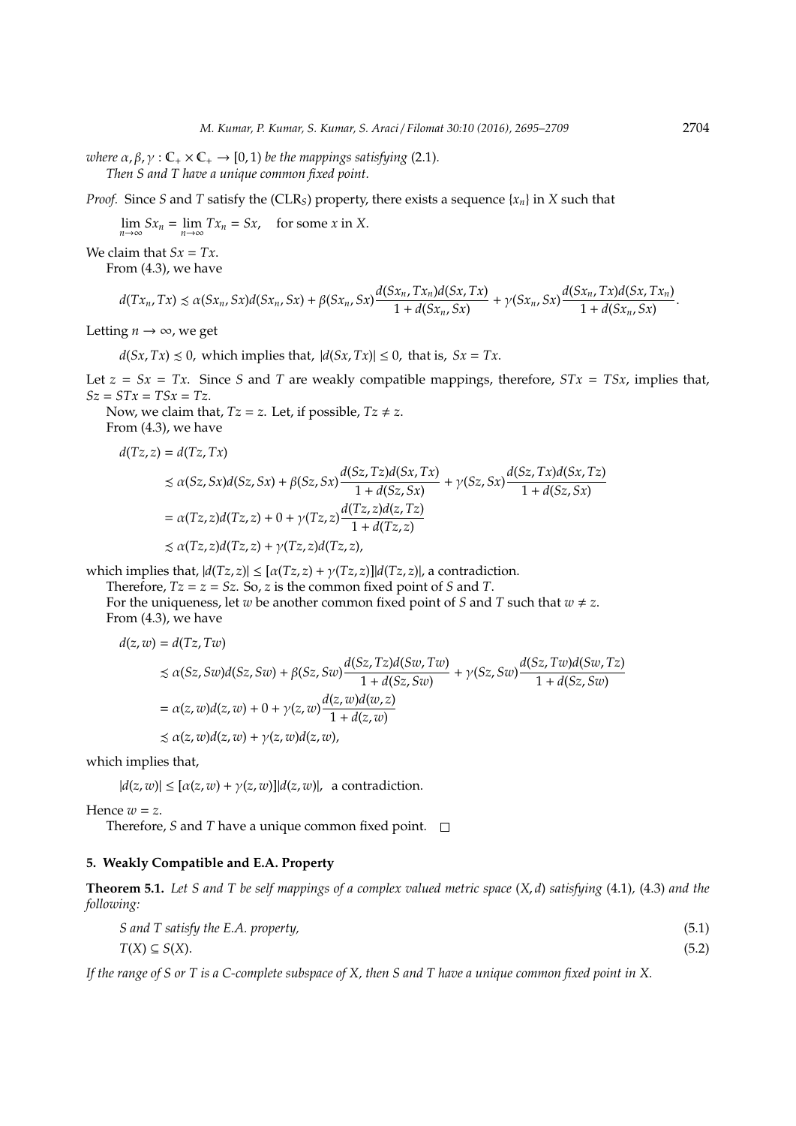*where*  $\alpha$ ,  $\beta$ ,  $\gamma$  :  $\mathbb{C}_+ \times \mathbb{C}_+ \rightarrow [0, 1)$  *be the mappings satisfying* (2.1). *Then S and T have a unique common fixed point.*

*Proof.* Since *S* and *T* satisfy the (CLR<sub>S</sub>) property, there exists a sequence { $x_n$ } in *X* such that

 $\lim_{n \to \infty} Sx_n = \lim_{n \to \infty} Tx_n = Sx$ , for some *x* in *X*.

We claim that  $Sx = Tx$ .

From (4.3), we have

$$
d(Tx_n, Tx) \le \alpha(Sx_n, Sx) d(Sx_n, Sx) + \beta(Sx_n, Sx) \frac{d(Sx_n, Tx_n) d(Sx, Tx)}{1 + d(Sx_n, Sx)} + \gamma(Sx_n, Sx) \frac{d(Sx_n, Tx) d(Sx, Tx_n)}{1 + d(Sx_n, Sx)}
$$

Letting  $n \to \infty$ , we get

 $d(Sx, Tx) \leq 0$ , which implies that,  $|d(Sx, Tx)| \leq 0$ , that is,  $Sx = Tx$ .

Let  $z = Sx = Tx$ . Since *S* and *T* are weakly compatible mappings, therefore,  $STx = TSx$ , implies that,  $Sz = STx = TSx = Tz$ .

Now, we claim that,  $Tz = z$ . Let, if possible,  $Tz \neq z$ .

From (4.3), we have  $d(Tz, z) = d(Tz, Tx)$ 

$$
\leq \alpha(Sz, Sx)d(Sz, Sx) + \beta(Sz, Sx) \frac{d(Sz, Tz)d(Sx, Tx)}{1 + d(Sz, Sx)} + \gamma(Sz, Sx) \frac{d(Sz, Tx)d(Sx, Tz)}{1 + d(Sz, Sx)}
$$
  
=  $\alpha(Tz, z)d(Tz, z) + 0 + \gamma(Tz, z) \frac{d(Tz, z)d(z, Tz)}{1 + d(Tz, z)}$   
 $\leq \alpha(Tz, z)d(Tz, z) + \gamma(Tz, z)d(Tz, z),$ 

which implies that,  $|d(Tz, z)| \leq [\alpha(Tz, z) + \gamma(Tz, z)] |d(Tz, z)|$ , a contradiction.

Therefore,  $Tz = z = Sz$ . So, *z* is the common fixed point of *S* and *T*.

For the uniqueness, let *w* be another common fixed point of *S* and *T* such that  $w \neq z$ . From (4.3), we have

$$
d(z, w) = d(Tz, Tw)
$$
  
\n
$$
\leq \alpha(Sz, Sw)d(Sz, Sw) + \beta(Sz, Sw)\frac{d(Sz, Tz)d(Sw, Tw)}{1 + d(Sz, Sw)} + \gamma(Sz, Sw)\frac{d(Sz, Tw)d(Sw, Tz)}{1 + d(Sz, Sw)}
$$
  
\n
$$
= \alpha(z, w)d(z, w) + 0 + \gamma(z, w)\frac{d(z, w)d(w, z)}{1 + d(z, w)}
$$
  
\n
$$
\leq \alpha(z, w)d(z, w) + \gamma(z, w)d(z, w),
$$

which implies that,

 $|d(z, w)| \leq [\alpha(z, w) + \gamma(z, w)] |d(z, w)|$ , a contradiction.

Hence  $w = z$ .

Therefore, *S* and *T* have a unique common fixed point. □

#### **5. Weakly Compatible and E.A. Property**

**Theorem 5.1.** *Let S and T be self mappings of a complex valued metric space* (*X*, *d*) *satisfying* (4.1)*,* (4.3) *and the following:*

| S and T satisfy the E.A. property, | (5.1) |
|------------------------------------|-------|
| $T(X) \subseteq S(X)$ .            | (5.2) |

*If the range of S or T is a C-complete subspace of X, then S and T have a unique common fixed point in X.*

.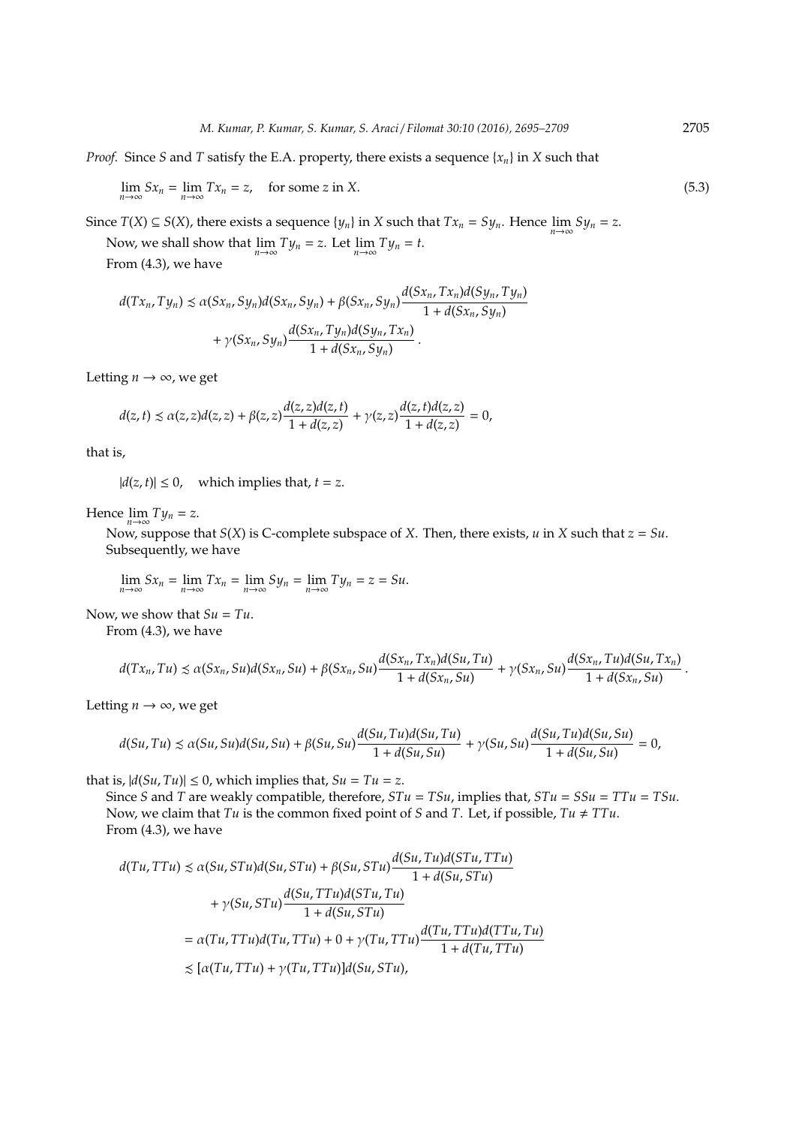*Proof.* Since *S* and *T* satisfy the E.A. property, there exists a sequence  ${x_n}$  in *X* such that

 $\lim_{n \to \infty} Sx_n = \lim_{n \to \infty} Tx_n = z$ , for some *z* in *X*. (5.3)

Since *T*(*X*)  $\subseteq$  *S*(*X*), there exists a sequence {*y<sub>n</sub>*} in *X* such that *Tx<sub>n</sub>* = *Sy<sub>n</sub>*. Hence  $\lim_{n\to\infty} Sy_n = z$ .

Now, we shall show that  $\lim_{n\to\infty} Ty_n = z$ . Let  $\lim_{n\to\infty} Ty_n = t$ . From (4.3), we have

$$
d(Tx_n, Ty_n) \le \alpha(Sx_n, Sy_n)d(Sx_n, Sy_n) + \beta(Sx_n, Sy_n)\frac{d(Sx_n, Tx_n)d(Sy_n, Ty_n)}{1 + d(Sx_n, Sy_n)} + \gamma(Sx_n, Sy_n)\frac{d(Sx_n, Ty_n)d(Sy_n, Tx_n)}{1 + d(Sx_n, Sy_n)}.
$$

Letting  $n \to \infty$ , we get

$$
d(z,t) \le \alpha(z,z)d(z,z) + \beta(z,z)\frac{d(z,z)d(z,t)}{1+d(z,z)} + \gamma(z,z)\frac{d(z,t)d(z,z)}{1+d(z,z)} = 0,
$$

that is,

 $|d(z, t)| \leq 0$ , which implies that,  $t = z$ .

Hence  $\lim_{n\to\infty} Ty_n = z$ .

Now, suppose that *S*(*X*) is C-complete subspace of *X*. Then, there exists, *u* in *X* such that *z* = *Su*. Subsequently, we have

$$
\lim_{n\to\infty}Sx_n=\lim_{n\to\infty}Tx_n=\lim_{n\to\infty}Sy_n=\lim_{n\to\infty}Ty_n=z=Su.
$$

Now, we show that  $Su = Tu$ .

From (4.3), we have

$$
d(Tx_n, Tu) \leq \alpha(Sx_n, Su)d(Sx_n, Su) + \beta(Sx_n, Su)\frac{d(Sx_n, Tx_n)d(Su, Tu)}{1 + d(Sx_n, Su)} + \gamma(Sx_n, Su)\frac{d(Sx_n, Tu)d(Su, Tx_n)}{1 + d(Sx_n, Su)}.
$$

Letting  $n \rightarrow \infty$ , we get

$$
d(Su, Tu) \le \alpha(Su, Su)d(Su, Su) + \beta(Su, Su)\frac{d(Su, Tu)d(Su, Tu)}{1 + d(Su, Su)} + \gamma(Su, Su)\frac{d(Su, Tu)d(Su, Su)}{1 + d(Su, Su)} = 0,
$$

that is,  $|d(Su, Tu)| \le 0$ , which implies that,  $Su = Tu = z$ .

Since *S* and *T* are weakly compatible, therefore, *STu* = *TSu*, implies that, *STu* = *SSu* = *TTu* = *TSu*. Now, we claim that *Tu* is the common fixed point of *S* and *T*. Let, if possible, *Tu*  $\neq TTu$ . From (4.3), we have

$$
d(Tu, TTu) \preceq \alpha(Su, STu)d(Su, STu) + \beta(Su, STu) \frac{d(Su, Tu)d(STu, TTu)}{1 + d(Su, STu)}
$$
  
+  $\gamma(Su, STu) \frac{d(Su, TTu)d(STu, Tu)}{1 + d(Su, STu)}$   
=  $\alpha(Tu, TTu)d(Tu, TTu) + 0 + \gamma(Tu, TTu) \frac{d(Tu, TTu)d(TTu, Tu)}{1 + d(Tu, TTu)}$   
 $\preceq [\alpha(Tu, TTu) + \gamma(Tu, TTu)]d(Su, STu),$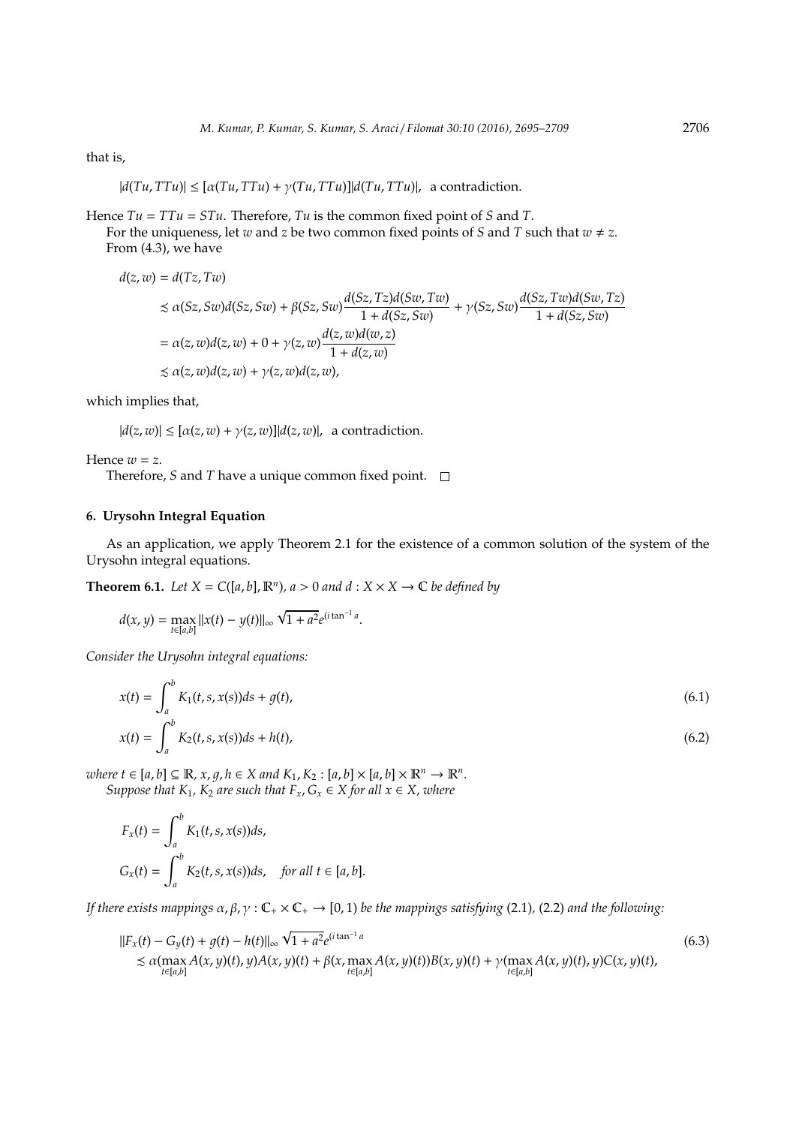that is,

$$
|d(Tu,TTu)| \leq [\alpha(Tu,TTu) + \gamma(Tu,TTu)]|d(Tu,TTu)|, \text{ a contradiction.}
$$

Hence  $Tu = TTu = STu$ . Therefore,  $Tu$  is the common fixed point of *S* and *T*.

For the uniqueness, let *w* and *z* be two common fixed points of *S* and *T* such that  $w \neq z$ . From (4.3), we have

$$
d(z, w) = d(Tz, Tw)
$$
  
\n
$$
\leq \alpha(Sz, Sw)d(Sz, Sw) + \beta(Sz, Sw)\frac{d(Sz, Tz)d(Sw, Tw)}{1 + d(Sz, Sw)} + \gamma(Sz, Sw)\frac{d(Sz, Tw)d(Sw, Tz)}{1 + d(Sz, Sw)}
$$
  
\n
$$
= \alpha(z, w)d(z, w) + 0 + \gamma(z, w)\frac{d(z, w)d(w, z)}{1 + d(z, w)}
$$
  
\n
$$
\leq \alpha(z, w)d(z, w) + \gamma(z, w)d(z, w),
$$

which implies that,

 $|d(z, w)| \leq [\alpha(z, w) + \gamma(z, w)] |d(z, w)|$ , a contradiction.

Hence  $w = z$ .

Therefore, *S* and *T* have a unique common fixed point. □

### **6. Urysohn Integral Equation**

As an application, we apply Theorem 2.1 for the existence of a common solution of the system of the Urysohn integral equations.

**Theorem 6.1.** *Let*  $X = C([a, b], \mathbb{R}^n)$ *, a* > 0 *and d* :  $X \times X \rightarrow \mathbb{C}$  *be defined by* 

$$
d(x, y) = \max_{t \in [a, b]} ||x(t) - y(t)||_{\infty} \sqrt{1 + a^2} e^{(i \tan^{-1} a)}.
$$

*Consider the Urysohn integral equations:*

$$
x(t) = \int_{a}^{b} K_1(t, s, x(s))ds + g(t),
$$
  
\n
$$
x(t) = \int_{a}^{b} K_2(t, s, x(s))ds + h(t),
$$
\n(6.2)

 $where \ t \in [a, b] \subseteq \mathbb{R}, x, g, h \in X \ and \ K_1, K_2 : [a, b] \times [a, b] \times \mathbb{R}^n \rightarrow \mathbb{R}^n.$ *Suppose that*  $K_1$ ,  $K_2$  *are such that*  $F_x$ ,  $G_x \in X$  *for all*  $x \in X$ *, where* 

$$
F_x(t) = \int_a^b K_1(t, s, x(s))ds,
$$
  
\n
$$
G_x(t) = \int_a^b K_2(t, s, x(s))ds, \quad \text{for all } t \in [a, b].
$$

*If there exists mappings*  $\alpha$ ,  $\beta$ ,  $\gamma$ :  $\mathbb{C}_+ \times \mathbb{C}_+ \to [0,1)$  *be the mappings satisfying* (2.1), (2.2) *and the following*:

$$
||F_x(t) - G_y(t) + g(t) - h(t)||_{\infty} \sqrt{1 + a^2} e^{(i \tan^{-1} a)}
$$
  
\n
$$
\lesssim \alpha (\max_{t \in [a,b]} A(x, y)(t), y) A(x, y)(t) + \beta(x, \max_{t \in [a,b]} A(x, y)(t)) B(x, y)(t) + \gamma (\max_{t \in [a,b]} A(x, y)(t), y) C(x, y)(t),
$$
\n(6.3)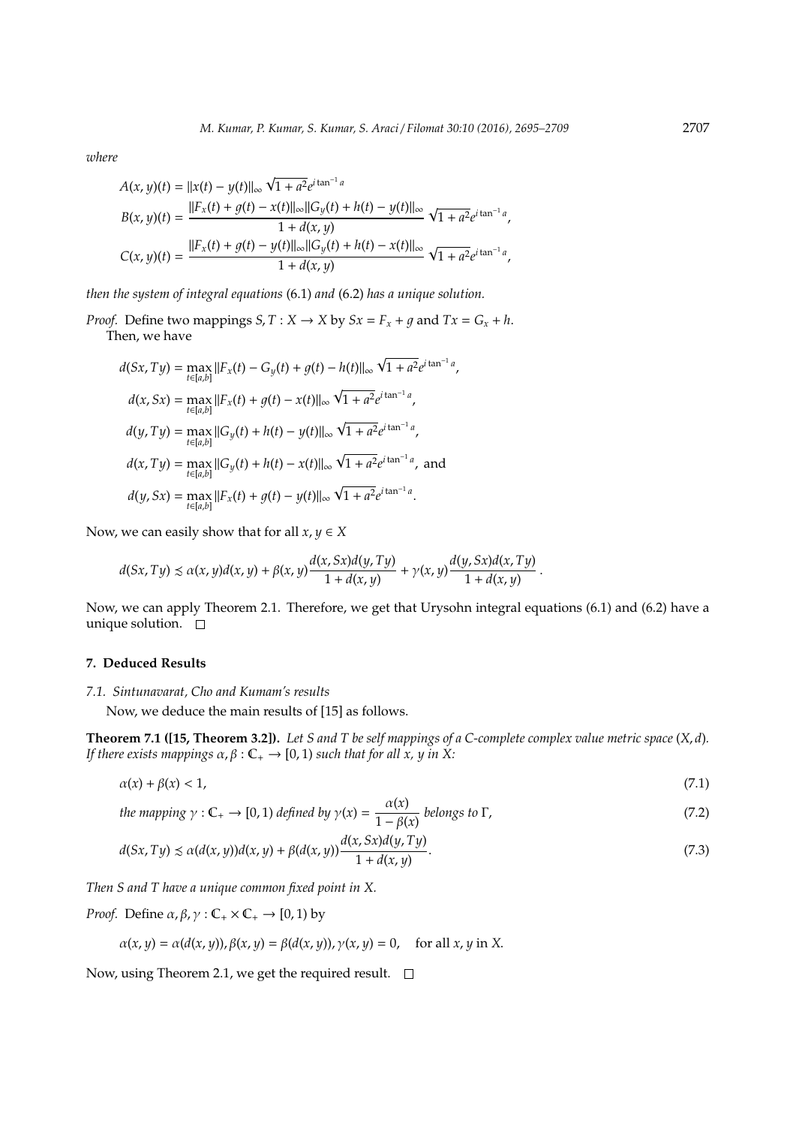*where*

$$
A(x, y)(t) = ||x(t) - y(t)||_{\infty} \sqrt{1 + a^2} e^{i \tan^{-1} a}
$$
  
\n
$$
B(x, y)(t) = \frac{||F_x(t) + g(t) - x(t)||_{\infty}||G_y(t) + h(t) - y(t)||_{\infty}}{1 + d(x, y)} \sqrt{1 + a^2} e^{i \tan^{-1} a},
$$
  
\n
$$
C(x, y)(t) = \frac{||F_x(t) + g(t) - y(t)||_{\infty}||G_y(t) + h(t) - x(t)||_{\infty}}{1 + d(x, y)} \sqrt{1 + a^2} e^{i \tan^{-1} a},
$$

*then the system of integral equations* (6.1) *and* (6.2) *has a unique solution.*

*Proof.* Define two mappings *S*, *T* : *X*  $\rightarrow$  *X* by *Sx* = *F<sub>x</sub>* + *g* and *Tx* = *G<sub>x</sub>* + *h*. Then, we have

$$
d(Sx, Ty) = \max_{t \in [a,b]} ||F_x(t) - G_y(t) + g(t) - h(t)||_{\infty} \sqrt{1 + a^2} e^{i \tan^{-1} a},
$$
  
\n
$$
d(x, Sx) = \max_{t \in [a,b]} ||F_x(t) + g(t) - x(t)||_{\infty} \sqrt{1 + a^2} e^{i \tan^{-1} a},
$$
  
\n
$$
d(y, Ty) = \max_{t \in [a,b]} ||G_y(t) + h(t) - y(t)||_{\infty} \sqrt{1 + a^2} e^{i \tan^{-1} a},
$$
  
\n
$$
d(x, Ty) = \max_{t \in [a,b]} ||G_y(t) + h(t) - x(t)||_{\infty} \sqrt{1 + a^2} e^{i \tan^{-1} a},
$$
and  
\n
$$
d(y, Sx) = \max_{t \in [a,b]} ||F_x(t) + g(t) - y(t)||_{\infty} \sqrt{1 + a^2} e^{i \tan^{-1} a}.
$$

Now, we can easily show that for all  $x, y \in X$ 

$$
d(Sx,Ty) \lesssim \alpha(x,y)d(x,y) + \beta(x,y)\frac{d(x,Sx)d(y,Ty)}{1+d(x,y)} + \gamma(x,y)\frac{d(y,Sx)d(x,Ty)}{1+d(x,y)}.
$$

Now, we can apply Theorem 2.1. Therefore, we get that Urysohn integral equations (6.1) and (6.2) have a unique solution.  $\square$ 

## **7. Deduced Results**

## *7.1. Sintunavarat, Cho and Kumam's results*

Now, we deduce the main results of [15] as follows.

**Theorem 7.1 ([15, Theorem 3.2]).** *Let S and T be self mappings of a C-complete complex value metric space* (*X*, *d*)*. If there exists mappings*  $\alpha$ ,  $\beta$  :  $\mathbb{C}_+$   $\rightarrow$  [0, 1) *such that for all x, y in X*:

$$
\alpha(x) + \beta(x) < 1,\tag{7.1}
$$

the mapping 
$$
\gamma : \mathbb{C}_+ \to [0, 1)
$$
 defined by  $\gamma(x) = \frac{\alpha(x)}{1 - \beta(x)}$  belongs to  $\Gamma$ , (7.2)

$$
d(Sx, Ty) \le \alpha(d(x, y))d(x, y) + \beta(d(x, y))\frac{d(x, Sx)d(y, Ty)}{1 + d(x, y)}.
$$
\n
$$
(7.3)
$$

*Then S and T have a unique common fixed point in X.*

*Proof.* Define  $\alpha$ ,  $\beta$ ,  $\gamma$  :  $\mathbb{C}_+ \times \mathbb{C}_+ \rightarrow [0, 1)$  by

$$
\alpha(x, y) = \alpha(d(x, y)), \beta(x, y) = \beta(d(x, y)), \gamma(x, y) = 0, \text{ for all } x, y \text{ in } X.
$$

Now, using Theorem 2.1, we get the required result.  $\square$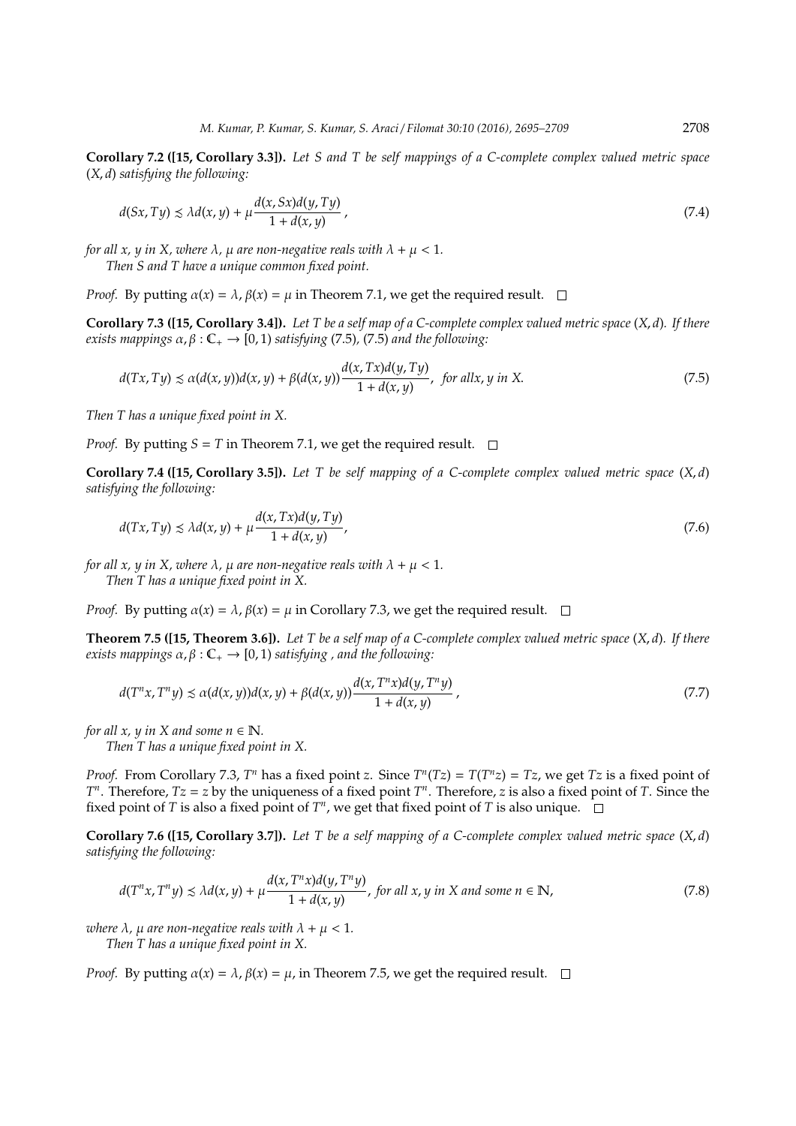**Corollary 7.2 ([15, Corollary 3.3]).** *Let S and T be self mappings of a C-complete complex valued metric space* (*X*, *d*) *satisfying the following:*

$$
d(Sx, Ty) \le \lambda d(x, y) + \mu \frac{d(x, Sx)d(y, Ty)}{1 + d(x, y)},
$$
\n(7.4)

*for all x, y in X, where*  $\lambda$ ,  $\mu$  *are non-negative reals with*  $\lambda + \mu < 1$ *. Then S and T have a unique common fixed point.*

*Proof.* By putting  $\alpha(x) = \lambda$ ,  $\beta(x) = \mu$  in Theorem 7.1, we get the required result.  $\square$ 

**Corollary 7.3 ([15, Corollary 3.4]).** *Let T be a self map of a C-complete complex valued metric space* (*X*, *d*)*. If there exists mappings*  $\alpha$ ,  $\beta$  :  $\mathbb{C}_+ \rightarrow [0, 1)$  *satisfying* (7.5), (7.5) *and the following*:

$$
d(Tx, Ty) \le \alpha(d(x, y))d(x, y) + \beta(d(x, y))\frac{d(x, Tx)d(y, Ty)}{1 + d(x, y)}, \text{ for all } x, y \text{ in } X. \tag{7.5}
$$

*Then T has a unique fixed point in X.*

*Proof.* By putting  $S = T$  in Theorem 7.1, we get the required result.  $\square$ 

**Corollary 7.4 ([15, Corollary 3.5]).** *Let T be self mapping of a C-complete complex valued metric space* (*X*, *d*) *satisfying the following:*

$$
d(Tx, Ty) \le \lambda d(x, y) + \mu \frac{d(x, Tx)d(y, Ty)}{1 + d(x, y)},
$$
\n(7.6)

*for all x, y in X, where*  $\lambda$ ,  $\mu$  *are non-negative reals with*  $\lambda + \mu < 1$ *. Then T has a unique fixed point in X.*

*Proof.* By putting  $\alpha(x) = \lambda$ ,  $\beta(x) = \mu$  in Corollary 7.3, we get the required result.  $\square$ 

**Theorem 7.5 ([15, Theorem 3.6]).** *Let T be a self map of a C-complete complex valued metric space* (*X*, *d*)*. If there exists mappings*  $\alpha$ ,  $\beta$  :  $\mathbb{C}_+$   $\rightarrow$  [0, 1) *satisfying*, *and the following*:

$$
d(T^{n}x, T^{n}y) \le \alpha(d(x, y))d(x, y) + \beta(d(x, y))\frac{d(x, T^{n}x)d(y, T^{n}y)}{1 + d(x, y)},
$$
\n
$$
(7.7)
$$

*for all x, y in X and some n*  $\in \mathbb{N}$ *.* 

*Then T has a unique fixed point in X.*

*Proof.* From Corollary 7.3,  $T^n$  has a fixed point *z*. Since  $T^n(Tz) = T(T^n z) = Tz$ , we get  $Tz$  is a fixed point of *T*<sup>*n*</sup>. Therefore, *Tz* = *z* by the uniqueness of a fixed point *T*<sup>*n*</sup>. Therefore, *z* is also a fixed point of *T*. Since the fixed point of *T* is also a fixed point of *T n* , we get that fixed point of *T* is also unique.

**Corollary 7.6 ([15, Corollary 3.7]).** *Let T be a self mapping of a C-complete complex valued metric space* (*X*, *d*) *satisfying the following:*

$$
d(T^{n}x, T^{n}y) \le \lambda d(x, y) + \mu \frac{d(x, T^{n}x)d(y, T^{n}y)}{1 + d(x, y)}, \text{ for all } x, y \text{ in } X \text{ and some } n \in \mathbb{N},
$$
\n
$$
(7.8)
$$

*where*  $\lambda$ *,*  $\mu$  *are non-negative reals with*  $\lambda + \mu < 1$ *.* 

*Then T has a unique fixed point in X.*

*Proof.* By putting  $\alpha(x) = \lambda$ ,  $\beta(x) = \mu$ , in Theorem 7.5, we get the required result.  $\square$